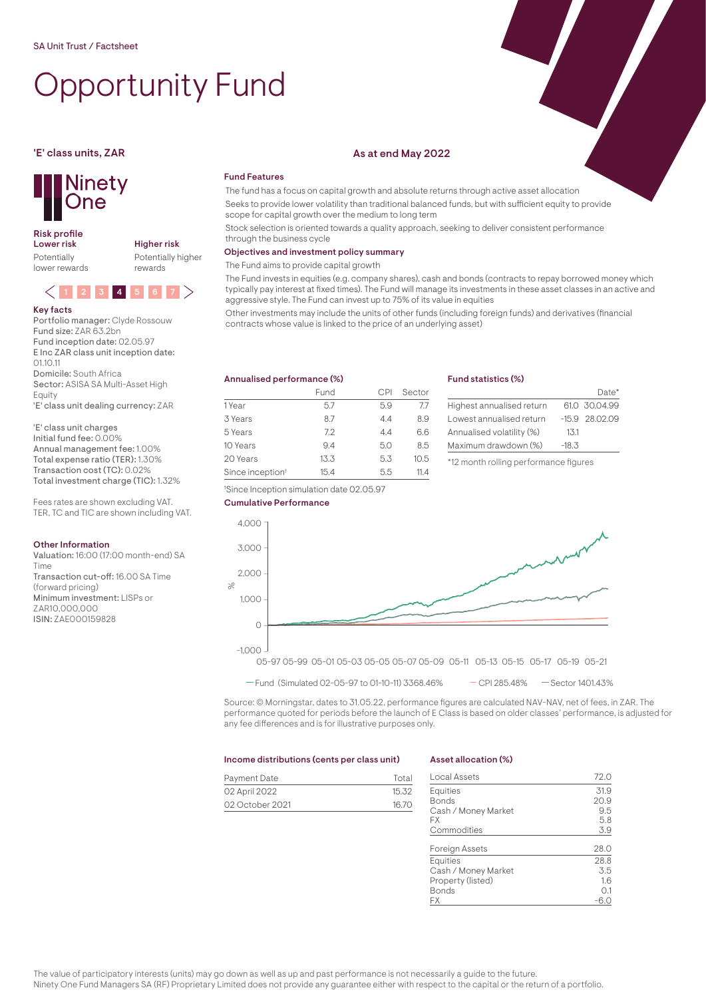# Opportunity Fund



## Risk profile<br>Lower risk

Potentially lower rewards Higher risk Potentially higher rewards



Key facts Portfolio manager: Clyde Rossouw Fund size: ZAR 63.2bn Fund inception date: 02.05.97 E Inc ZAR class unit inception date:  $0110.11$ Domicile: South Africa Sector: ASISA SA Multi-Asset High Equity 'E' class unit dealing currency: ZAR

'E' class unit charges Initial fund fee: 0.00% Annual management fee: 1.00% Total expense ratio (TER): 1.30% Transaction cost (TC): 0.02% Total investment charge (TIC): 1.32%

Fees rates are shown excluding VAT. TER, TC and TIC are shown including VAT.

#### Other Information

Valuation: 16:00 (17:00 month-end) SA Time Transaction cut-off: 16.00 SA Time (forward pricing) Minimum investment: LISPs or ZAR10,000,000 ISIN: ZAE000159828

### 'E' class units, ZAR As at end May 2022

### Fund Features

The fund has a focus on capital growth and absolute returns through active asset allocation Seeks to provide lower volatility than traditional balanced funds, but with sufficient equity to provide scope for capital growth over the medium to long term

Stock selection is oriented towards a quality approach, seeking to deliver consistent performance through the business cycle

#### Objectives and investment policy summary

The Fund aims to provide capital growth

The Fund invests in equities (e.g. company shares), cash and bonds (contracts to repay borrowed money which typically pay interest at fixed times). The Fund will manage its investments in these asset classes in an active and aggressive style. The Fund can invest up to 75% of its value in equities

Other investments may include the units of other funds (including foreign funds) and derivatives (financial contracts whose value is linked to the price of an underlying asset)

#### Annualised performance (%) Fund CPI Sector 1 Year 5.7 5.9 7.7 3 Years 8.7 4.4 8.9 5 Years 7.2 4.4 6.6 10 Years 9.4 5.0 8.5 20 Years 13.3 5.3 10.5 Since inception<sup>†</sup> 15.4 5.5 11.4

#### Fund statistics (%)

|                           |         | $Data*$          |
|---------------------------|---------|------------------|
| Highest annualised return |         | 61.0 30.04.99    |
| Lowest annualised return  |         | $-15.9$ 28.02.09 |
| Annualised volatility (%) | 1,3.1   |                  |
| Maximum drawdown (%)      | $-18.3$ |                  |
|                           |         |                  |

\*12 month rolling performance figures







Source: © Morningstar, dates to 31.05.22, performance figures are calculated NAV-NAV, net of fees, in ZAR. The performance quoted for periods before the launch of E Class is based on older classes' performance, is adjusted for any fee differences and is for illustrative purposes only.

#### Income distributions (cents per class unit)

### Payment Date Total 02 April 2022 15.32 02 October 2021 16.70

#### Asset allocation (%)

| Local Assets          | 72.0 |
|-----------------------|------|
| <b>Equities</b>       | 31.9 |
| <b>Bonds</b>          | 20.9 |
| Cash / Money Market   | 9.5  |
| FX                    | 5.8  |
| Commodities           | 3.9  |
| <b>Foreign Assets</b> | 28.0 |
| <b>Equities</b>       | 28.8 |
| Cash / Money Market   | 3.5  |
| Property (listed)     | 1.6  |
| Bonds                 | 0.1  |
| FХ                    |      |

The value of participatory interests (units) may go down as well as up and past performance is not necessarily a guide to the future. Ninety One Fund Managers SA (RF) Proprietary Limited does not provide any guarantee either with respect to the capital or the return of a portfolio.